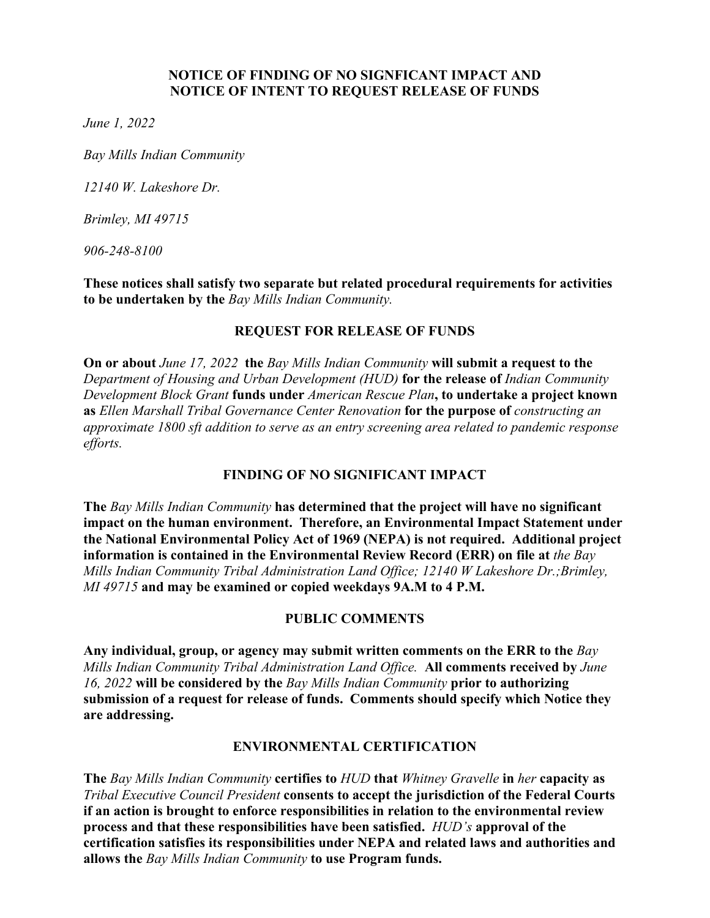#### **NOTICE OF FINDING OF NO SIGNFICANT IMPACT AND NOTICE OF INTENT TO REQUEST RELEASE OF FUNDS**

*June 1, 2022* 

*Bay Mills Indian Community* 

*12140 W. Lakeshore Dr.* 

*Brimley, MI 49715* 

*906-248-8100* 

**These notices shall satisfy two separate but related procedural requirements for activities to be undertaken by the** *Bay Mills Indian Community.* 

#### **REQUEST FOR RELEASE OF FUNDS**

**On or about** *June 17, 2022* **the** *Bay Mills Indian Community* **will submit a request to the**  *Department of Housing and Urban Development (HUD)* **for the release of** *Indian Community Development Block Grant* **funds under** *American Rescue Plan***, to undertake a project known as** *Ellen Marshall Tribal Governance Center Renovation* **for the purpose of** *constructing an approximate 1800 sft addition to serve as an entry screening area related to pandemic response efforts.* 

# **FINDING OF NO SIGNIFICANT IMPACT**

**The** *Bay Mills Indian Community* **has determined that the project will have no significant impact on the human environment. Therefore, an Environmental Impact Statement under the National Environmental Policy Act of 1969 (NEPA) is not required. Additional project information is contained in the Environmental Review Record (ERR) on file at** *the Bay Mills Indian Community Tribal Administration Land Office; 12140 W Lakeshore Dr.;Brimley, MI 49715* **and may be examined or copied weekdays 9A.M to 4 P.M.** 

# **PUBLIC COMMENTS**

**Any individual, group, or agency may submit written comments on the ERR to the** *Bay Mills Indian Community Tribal Administration Land Office.* **All comments received by** *June 16, 2022* **will be considered by the** *Bay Mills Indian Community* **prior to authorizing submission of a request for release of funds. Comments should specify which Notice they are addressing.** 

# **ENVIRONMENTAL CERTIFICATION**

**The** *Bay Mills Indian Community* **certifies to** *HUD* **that** *Whitney Gravelle* **in** *her* **capacity as**  *Tribal Executive Council President* **consents to accept the jurisdiction of the Federal Courts if an action is brought to enforce responsibilities in relation to the environmental review process and that these responsibilities have been satisfied.** *HUD's* **approval of the certification satisfies its responsibilities under NEPA and related laws and authorities and allows the** *Bay Mills Indian Community* **to use Program funds.**